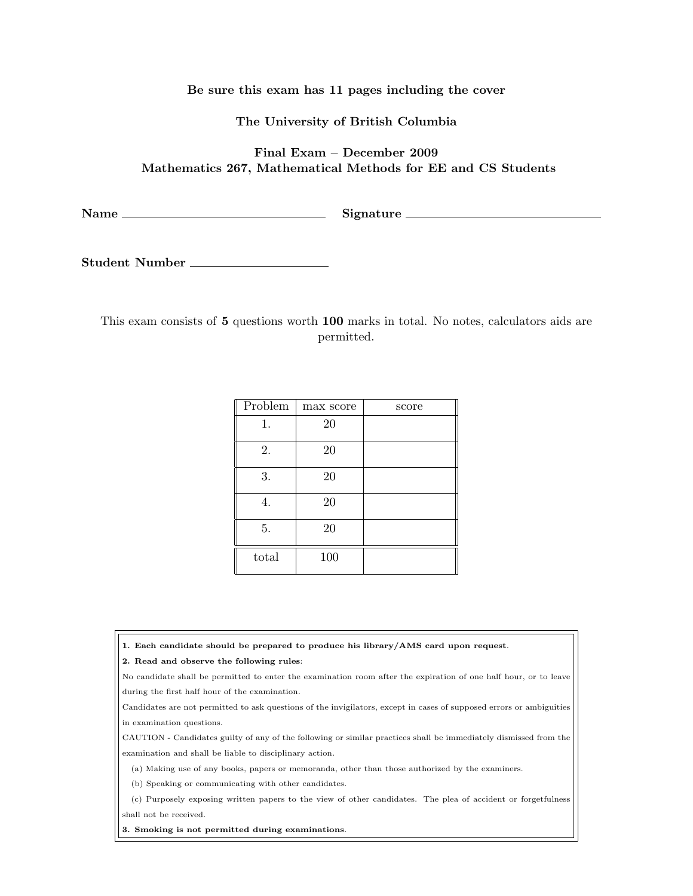## Be sure this exam has 11 pages including the cover

The University of British Columbia

## Final Exam – December 2009 Mathematics 267, Mathematical Methods for EE and CS Students

Name Signature

Student Number

This exam consists of 5 questions worth 100 marks in total. No notes, calculators aids are permitted.

| Problem | max score | score |
|---------|-----------|-------|
| 1.      | 20        |       |
| 2.      | 20        |       |
| 3.      | $20\,$    |       |
| 4.      | 20        |       |
| 5.      | 20        |       |
| total   | 100       |       |

1. Each candidate should be prepared to produce his library/AMS card upon request.

2. Read and observe the following rules:

No candidate shall be permitted to enter the examination room after the expiration of one half hour, or to leave during the first half hour of the examination.

Candidates are not permitted to ask questions of the invigilators, except in cases of supposed errors or ambiguities in examination questions.

CAUTION - Candidates guilty of any of the following or similar practices shall be immediately dismissed from the examination and shall be liable to disciplinary action.

(a) Making use of any books, papers or memoranda, other than those authorized by the examiners.

(b) Speaking or communicating with other candidates.

(c) Purposely exposing written papers to the view of other candidates. The plea of accident or forgetfulness shall not be received.

3. Smoking is not permitted during examinations.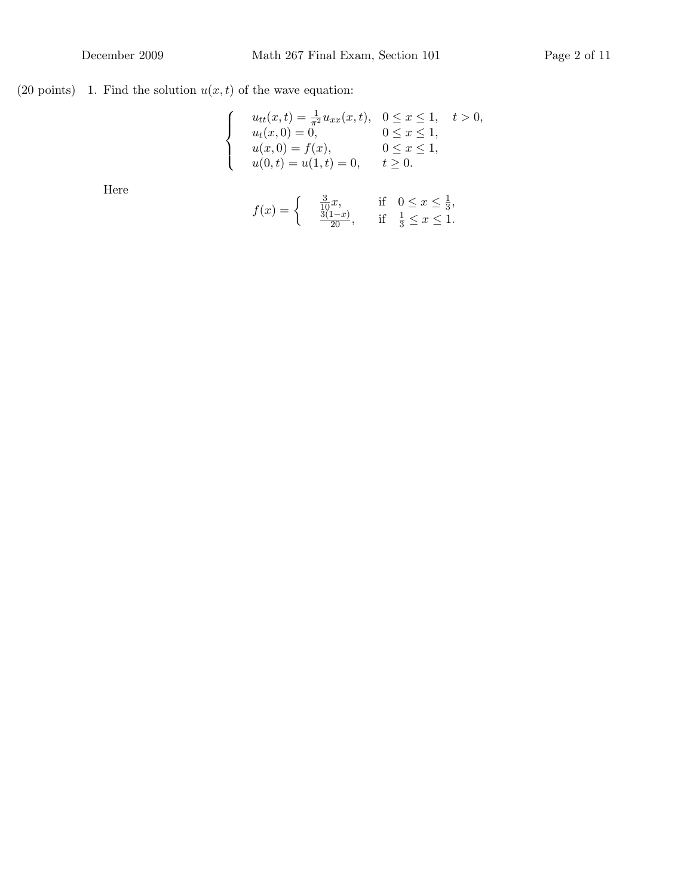## (20 points) – 1. Find the solution  $u(x, t)$  of the wave equation:

$$
\begin{cases}\n u_{tt}(x,t) = \frac{1}{\pi^2} u_{xx}(x,t), & 0 \le x \le 1, \quad t > 0, \\
u_t(x,0) = 0, & 0 \le x \le 1, \\
u(x,0) = f(x), & 0 \le x \le 1, \\
u(0,t) = u(1,t) = 0, & t \ge 0.\n\end{cases}
$$

Here

$$
f(x) = \begin{cases} \frac{3}{10}x, & \text{if } 0 \le x \le \frac{1}{3}, \\ \frac{3(1-x)}{20}, & \text{if } \frac{1}{3} \le x \le 1. \end{cases}
$$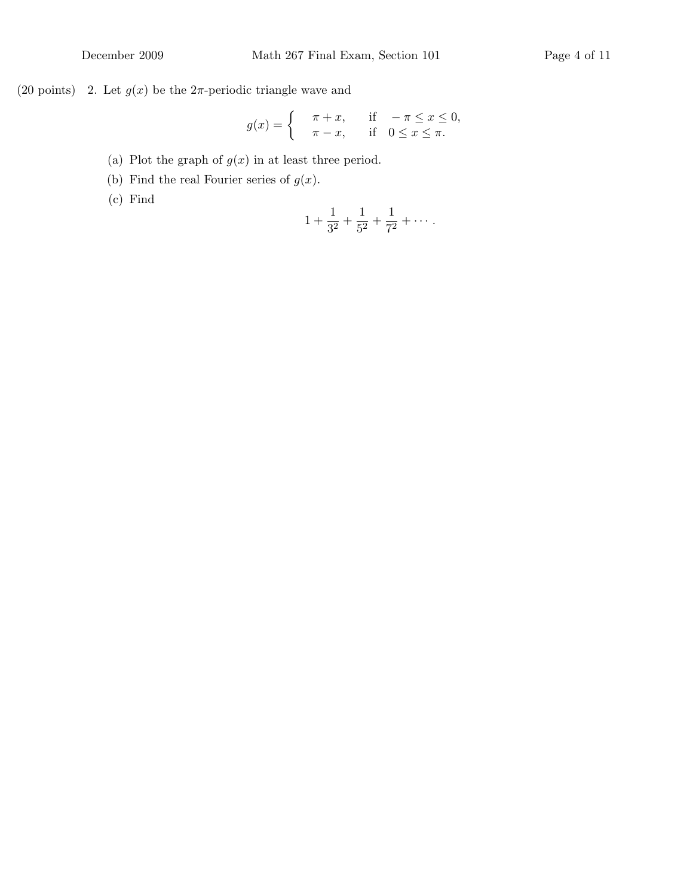(20 points) 2. Let  $g(x)$  be the  $2\pi$ -periodic triangle wave and

$$
g(x) = \begin{cases} \pi + x, & \text{if } -\pi \le x \le 0, \\ \pi - x, & \text{if } 0 \le x \le \pi. \end{cases}
$$

- (a) Plot the graph of  $g(x)$  in at least three period.
- (b) Find the real Fourier series of  $g(x)$ .
- (c) Find

$$
1 + \frac{1}{3^2} + \frac{1}{5^2} + \frac{1}{7^2} + \cdots
$$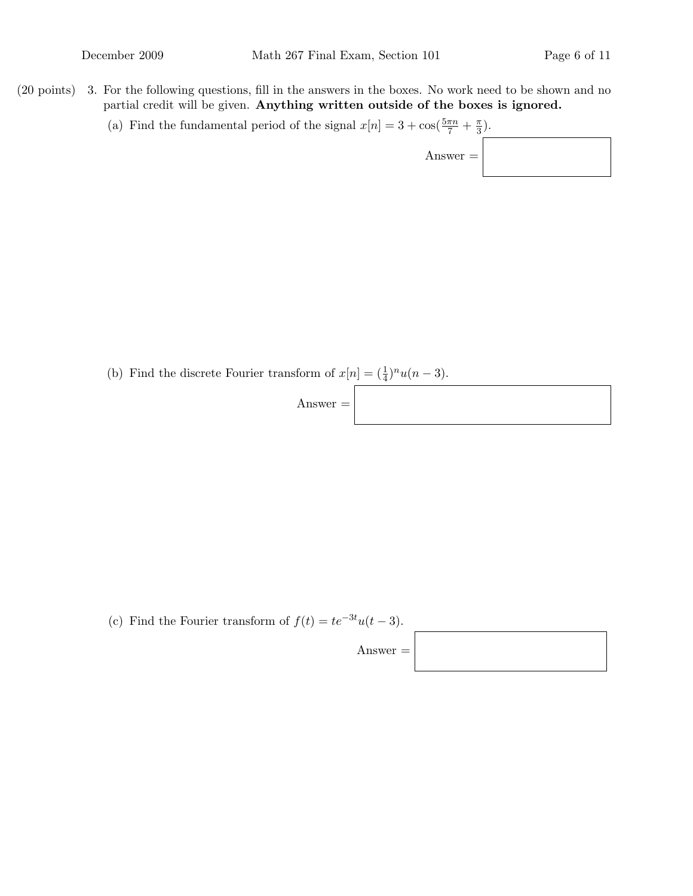- $(20 \text{ points})$  3. For the following questions, fill in the answers in the boxes. No work need to be shown and no partial credit will be given. Anything written outside of the boxes is ignored.
	- (a) Find the fundamental period of the signal  $x[n] = 3 + \cos(\frac{5\pi n}{7} + \frac{\pi}{3})$  $\frac{\pi}{3}$ .

Answer  $=$ 

(b) Find the discrete Fourier transform of  $x[n] = (\frac{1}{4})^n u(n-3)$ .



(c) Find the Fourier transform of  $f(t) = te^{-3t}u(t-3)$ .

 $\rm{Answer} =$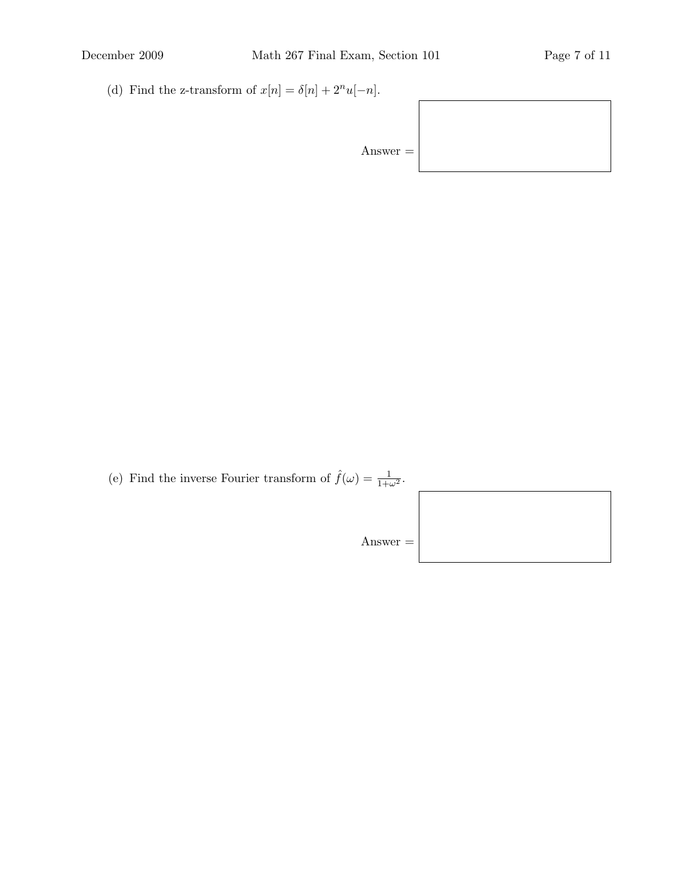(d) Find the z-transform of  $x[n] = \delta[n] + 2^n u[-n]$ .

Answer =

(e) Find the inverse Fourier transform of  $\hat{f}(\omega) = \frac{1}{1+\omega^2}$ .

Answer =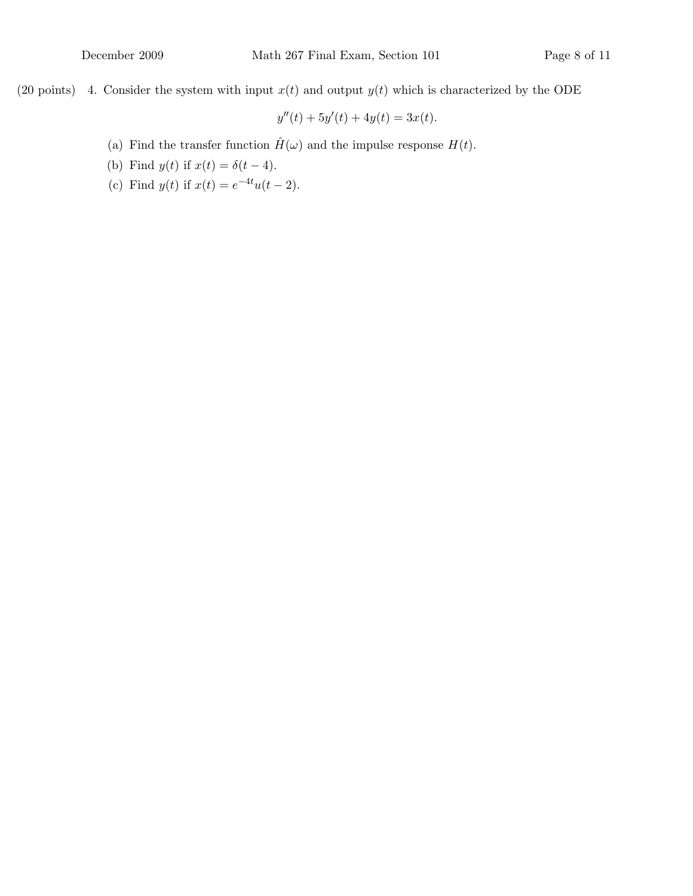(20 points) 4. Consider the system with input  $x(t)$  and output  $y(t)$  which is characterized by the ODE

$$
y''(t) + 5y'(t) + 4y(t) = 3x(t).
$$

- (a) Find the transfer function  $\hat{H}(\omega)$  and the impulse response  $H(t)$ .
- (b) Find  $y(t)$  if  $x(t) = \delta(t-4)$ .
- (c) Find  $y(t)$  if  $x(t) = e^{-4t}u(t-2)$ .